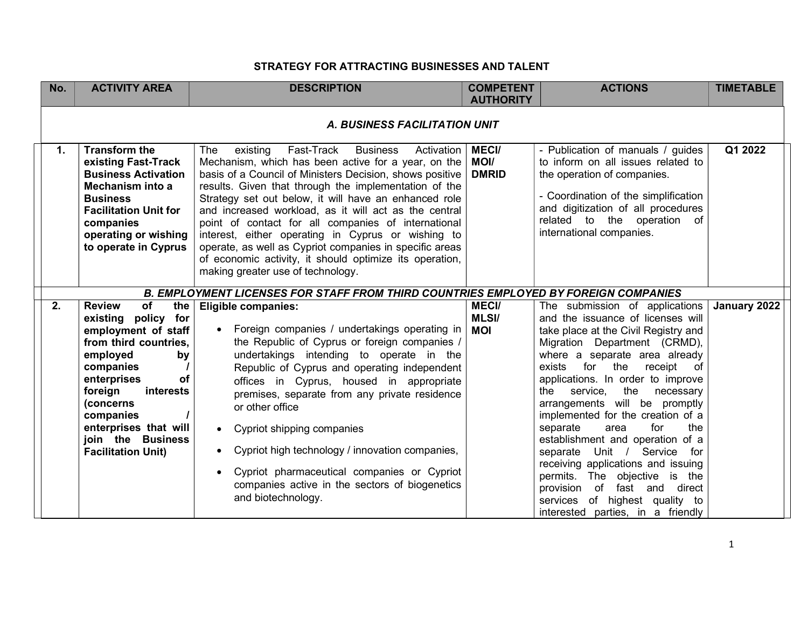## STRATEGY FOR ATTRACTING BUSINESSES AND TALENT

| No. | <b>ACTIVITY AREA</b>                                                                                                                                                                                                                                                               | <b>DESCRIPTION</b>                                                                                                                                                                                                                                                                                                                                                                                                                                                                                                                                                                                                                   | <b>COMPETENT</b><br><b>AUTHORITY</b>        | <b>ACTIONS</b>                                                                                                                                                                                                                                                                                                                                                                                                                                                                                                                                                                         | <b>TIMETABLE</b> |
|-----|------------------------------------------------------------------------------------------------------------------------------------------------------------------------------------------------------------------------------------------------------------------------------------|--------------------------------------------------------------------------------------------------------------------------------------------------------------------------------------------------------------------------------------------------------------------------------------------------------------------------------------------------------------------------------------------------------------------------------------------------------------------------------------------------------------------------------------------------------------------------------------------------------------------------------------|---------------------------------------------|----------------------------------------------------------------------------------------------------------------------------------------------------------------------------------------------------------------------------------------------------------------------------------------------------------------------------------------------------------------------------------------------------------------------------------------------------------------------------------------------------------------------------------------------------------------------------------------|------------------|
|     |                                                                                                                                                                                                                                                                                    | <b>A. BUSINESS FACILITATION UNIT</b>                                                                                                                                                                                                                                                                                                                                                                                                                                                                                                                                                                                                 |                                             |                                                                                                                                                                                                                                                                                                                                                                                                                                                                                                                                                                                        |                  |
| 1.  | <b>Transform the</b><br>existing Fast-Track<br><b>Business Activation</b><br>Mechanism into a<br><b>Business</b><br><b>Facilitation Unit for</b><br>companies<br>operating or wishing<br>to operate in Cyprus                                                                      | existing<br>Fast-Track<br><b>Business</b><br>The<br>Activation<br>Mechanism, which has been active for a year, on the<br>basis of a Council of Ministers Decision, shows positive<br>results. Given that through the implementation of the<br>Strategy set out below, it will have an enhanced role<br>and increased workload, as it will act as the central<br>point of contact for all companies of international<br>interest, either operating in Cyprus or wishing to<br>operate, as well as Cypriot companies in specific areas<br>of economic activity, it should optimize its operation,<br>making greater use of technology. | <b>MECI/</b><br><b>MOI/</b><br><b>DMRID</b> | - Publication of manuals / guides<br>to inform on all issues related to<br>the operation of companies.<br>- Coordination of the simplification<br>and digitization of all procedures<br>related to the operation of<br>international companies.                                                                                                                                                                                                                                                                                                                                        | Q1 2022          |
|     |                                                                                                                                                                                                                                                                                    | <b>B. EMPLOYMENT LICENSES FOR STAFF FROM THIRD COUNTRIES EMPLOYED BY FOREIGN COMPANIES</b>                                                                                                                                                                                                                                                                                                                                                                                                                                                                                                                                           |                                             |                                                                                                                                                                                                                                                                                                                                                                                                                                                                                                                                                                                        |                  |
| 2.  | of<br><b>Review</b><br>the<br>existing policy for<br>employment of staff<br>from third countries,<br>employed<br>by<br>companies<br>enterprises<br>оf<br>foreign<br>interests<br>(concerns<br>companies<br>enterprises that will<br>join the Business<br><b>Facilitation Unit)</b> | <b>Eligible companies:</b><br>Foreign companies / undertakings operating in<br>the Republic of Cyprus or foreign companies /<br>undertakings intending to operate in the<br>Republic of Cyprus and operating independent<br>offices in Cyprus, housed in appropriate<br>premises, separate from any private residence<br>or other office<br>Cypriot shipping companies<br>$\bullet$<br>Cypriot high technology / innovation companies,<br>Cypriot pharmaceutical companies or Cypriot<br>companies active in the sectors of biogenetics                                                                                              | <b>MECI/</b><br><b>MLSI/</b><br><b>MOI</b>  | The submission of applications<br>and the issuance of licenses will<br>take place at the Civil Registry and<br>Migration Department (CRMD),<br>where a separate area already<br>for<br>the<br>exists<br>receipt of<br>applications. In order to improve<br>the<br>the service,<br>necessary<br>arrangements will be promptly<br>implemented for the creation of a<br>for<br>the<br>separate<br>area<br>establishment and operation of a<br>Unit / Service<br>separate<br>for<br>receiving applications and issuing<br>permits. The objective is the<br>provision of<br>fast and direct | January 2022     |
|     |                                                                                                                                                                                                                                                                                    | and biotechnology.                                                                                                                                                                                                                                                                                                                                                                                                                                                                                                                                                                                                                   |                                             | services of highest quality to<br>interested parties, in a friendly                                                                                                                                                                                                                                                                                                                                                                                                                                                                                                                    |                  |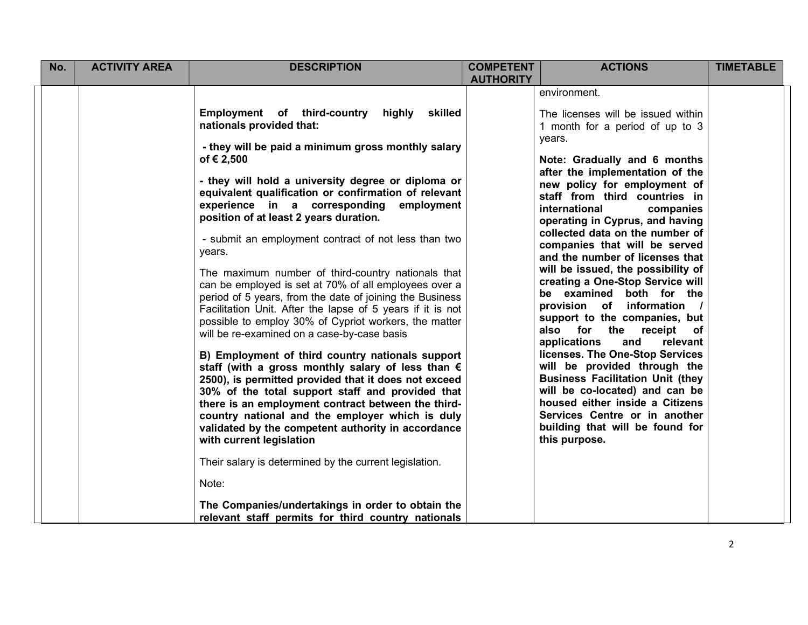| No. | <b>ACTIVITY AREA</b> | <b>DESCRIPTION</b>                                                                                                                                                                                                                                                                                                                                                                                                                                                                                                                                                                                                                                                                                                                                                                                                                                                                                                                                                                                                                                                                                                                                                                                                                                                                                                                                                       | <b>COMPETENT</b><br><b>AUTHORITY</b> | <b>ACTIONS</b>                                                                                                                                                                                                                                                                                                                                                                                                                                                                                                                                                                                                                                                                                                                                                                                                                                                                                                         | <b>TIMETABLE</b> |
|-----|----------------------|--------------------------------------------------------------------------------------------------------------------------------------------------------------------------------------------------------------------------------------------------------------------------------------------------------------------------------------------------------------------------------------------------------------------------------------------------------------------------------------------------------------------------------------------------------------------------------------------------------------------------------------------------------------------------------------------------------------------------------------------------------------------------------------------------------------------------------------------------------------------------------------------------------------------------------------------------------------------------------------------------------------------------------------------------------------------------------------------------------------------------------------------------------------------------------------------------------------------------------------------------------------------------------------------------------------------------------------------------------------------------|--------------------------------------|------------------------------------------------------------------------------------------------------------------------------------------------------------------------------------------------------------------------------------------------------------------------------------------------------------------------------------------------------------------------------------------------------------------------------------------------------------------------------------------------------------------------------------------------------------------------------------------------------------------------------------------------------------------------------------------------------------------------------------------------------------------------------------------------------------------------------------------------------------------------------------------------------------------------|------------------|
|     |                      | Employment of third-country<br>highly<br>skilled<br>nationals provided that:<br>- they will be paid a minimum gross monthly salary<br>of € 2,500<br>- they will hold a university degree or diploma or<br>equivalent qualification or confirmation of relevant<br>experience in a corresponding<br>employment<br>position of at least 2 years duration.<br>- submit an employment contract of not less than two<br>years.<br>The maximum number of third-country nationals that<br>can be employed is set at 70% of all employees over a<br>period of 5 years, from the date of joining the Business<br>Facilitation Unit. After the lapse of 5 years if it is not<br>possible to employ 30% of Cypriot workers, the matter<br>will be re-examined on a case-by-case basis<br>B) Employment of third country nationals support<br>staff (with a gross monthly salary of less than €<br>2500), is permitted provided that it does not exceed<br>30% of the total support staff and provided that<br>there is an employment contract between the third-<br>country national and the employer which is duly<br>validated by the competent authority in accordance<br>with current legislation<br>Their salary is determined by the current legislation.<br>Note:<br>The Companies/undertakings in order to obtain the<br>relevant staff permits for third country nationals |                                      | environment.<br>The licenses will be issued within<br>1 month for a period of up to 3<br>years.<br>Note: Gradually and 6 months<br>after the implementation of the<br>new policy for employment of<br>staff from third countries in<br>international<br>companies<br>operating in Cyprus, and having<br>collected data on the number of<br>companies that will be served<br>and the number of licenses that<br>will be issued, the possibility of<br>creating a One-Stop Service will<br>be examined both for the<br>provision of information /<br>support to the companies, but<br>also for the receipt of<br>and<br>applications<br>relevant<br>licenses. The One-Stop Services<br>will be provided through the<br><b>Business Facilitation Unit (they</b><br>will be co-located) and can be<br>housed either inside a Citizens<br>Services Centre or in another<br>building that will be found for<br>this purpose. |                  |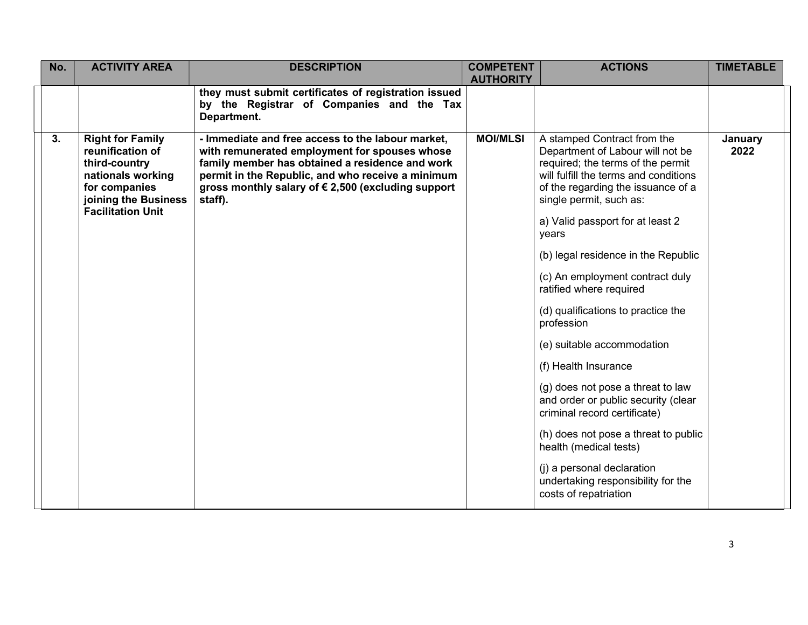| No. | <b>ACTIVITY AREA</b>                                                                                                                                   | <b>DESCRIPTION</b>                                                                                                                                                                                                                                                         | <b>COMPETENT</b><br><b>AUTHORITY</b> | <b>ACTIONS</b>                                                                                                                                                                                                                                                                                                                                                                                                                                                                                                                                                                                                                                                                                                               | <b>TIMETABLE</b>       |
|-----|--------------------------------------------------------------------------------------------------------------------------------------------------------|----------------------------------------------------------------------------------------------------------------------------------------------------------------------------------------------------------------------------------------------------------------------------|--------------------------------------|------------------------------------------------------------------------------------------------------------------------------------------------------------------------------------------------------------------------------------------------------------------------------------------------------------------------------------------------------------------------------------------------------------------------------------------------------------------------------------------------------------------------------------------------------------------------------------------------------------------------------------------------------------------------------------------------------------------------------|------------------------|
|     |                                                                                                                                                        | they must submit certificates of registration issued<br>by the Registrar of Companies and the Tax<br>Department.                                                                                                                                                           |                                      |                                                                                                                                                                                                                                                                                                                                                                                                                                                                                                                                                                                                                                                                                                                              |                        |
| 3.  | <b>Right for Family</b><br>reunification of<br>third-country<br>nationals working<br>for companies<br>joining the Business<br><b>Facilitation Unit</b> | - Immediate and free access to the labour market,<br>with remunerated employment for spouses whose<br>family member has obtained a residence and work<br>permit in the Republic, and who receive a minimum<br>gross monthly salary of €2,500 (excluding support<br>staff). | <b>MOI/MLSI</b>                      | A stamped Contract from the<br>Department of Labour will not be<br>required; the terms of the permit<br>will fulfill the terms and conditions<br>of the regarding the issuance of a<br>single permit, such as:<br>a) Valid passport for at least 2<br>years<br>(b) legal residence in the Republic<br>(c) An employment contract duly<br>ratified where required<br>(d) qualifications to practice the<br>profession<br>(e) suitable accommodation<br>(f) Health Insurance<br>(g) does not pose a threat to law<br>and order or public security (clear<br>criminal record certificate)<br>(h) does not pose a threat to public<br>health (medical tests)<br>(i) a personal declaration<br>undertaking responsibility for the | <b>January</b><br>2022 |
|     |                                                                                                                                                        |                                                                                                                                                                                                                                                                            |                                      | costs of repatriation                                                                                                                                                                                                                                                                                                                                                                                                                                                                                                                                                                                                                                                                                                        |                        |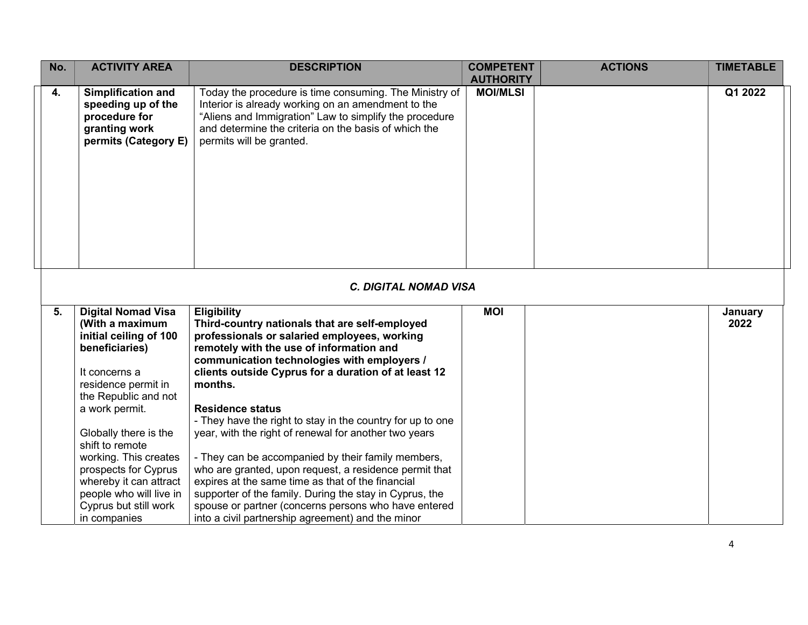| No. | <b>ACTIVITY AREA</b>                                                                                                                                                                                                                                                                                                         | <b>DESCRIPTION</b>                                                                                                                                                                                                                                                                                                                                                                                                                                                                                                                                                                                                                                                   | <b>COMPETENT</b><br><b>AUTHORITY</b> | <b>ACTIONS</b> | <b>TIMETABLE</b> |
|-----|------------------------------------------------------------------------------------------------------------------------------------------------------------------------------------------------------------------------------------------------------------------------------------------------------------------------------|----------------------------------------------------------------------------------------------------------------------------------------------------------------------------------------------------------------------------------------------------------------------------------------------------------------------------------------------------------------------------------------------------------------------------------------------------------------------------------------------------------------------------------------------------------------------------------------------------------------------------------------------------------------------|--------------------------------------|----------------|------------------|
| 4.  | <b>Simplification and</b><br>speeding up of the<br>procedure for<br>granting work<br>permits (Category E)                                                                                                                                                                                                                    | Today the procedure is time consuming. The Ministry of<br>Interior is already working on an amendment to the<br>"Aliens and Immigration" Law to simplify the procedure<br>and determine the criteria on the basis of which the<br>permits will be granted.                                                                                                                                                                                                                                                                                                                                                                                                           | <b>MOI/MLSI</b>                      |                | Q1 2022          |
|     |                                                                                                                                                                                                                                                                                                                              | <b>C. DIGITAL NOMAD VISA</b>                                                                                                                                                                                                                                                                                                                                                                                                                                                                                                                                                                                                                                         |                                      |                |                  |
| 5.  | <b>Digital Nomad Visa</b><br>(With a maximum<br>initial ceiling of 100<br>beneficiaries)<br>It concerns a<br>residence permit in<br>the Republic and not<br>a work permit.<br>Globally there is the<br>shift to remote<br>working. This creates<br>prospects for Cyprus<br>whereby it can attract<br>people who will live in | <b>Eligibility</b><br>Third-country nationals that are self-employed<br>professionals or salaried employees, working<br>remotely with the use of information and<br>communication technologies with employers /<br>clients outside Cyprus for a duration of at least 12<br>months.<br><b>Residence status</b><br>- They have the right to stay in the country for up to one<br>year, with the right of renewal for another two years<br>- They can be accompanied by their family members,<br>who are granted, upon request, a residence permit that<br>expires at the same time as that of the financial<br>supporter of the family. During the stay in Cyprus, the | <b>MOI</b>                           |                | January<br>2022  |
|     | Cyprus but still work<br>in companies                                                                                                                                                                                                                                                                                        | spouse or partner (concerns persons who have entered<br>into a civil partnership agreement) and the minor                                                                                                                                                                                                                                                                                                                                                                                                                                                                                                                                                            |                                      |                |                  |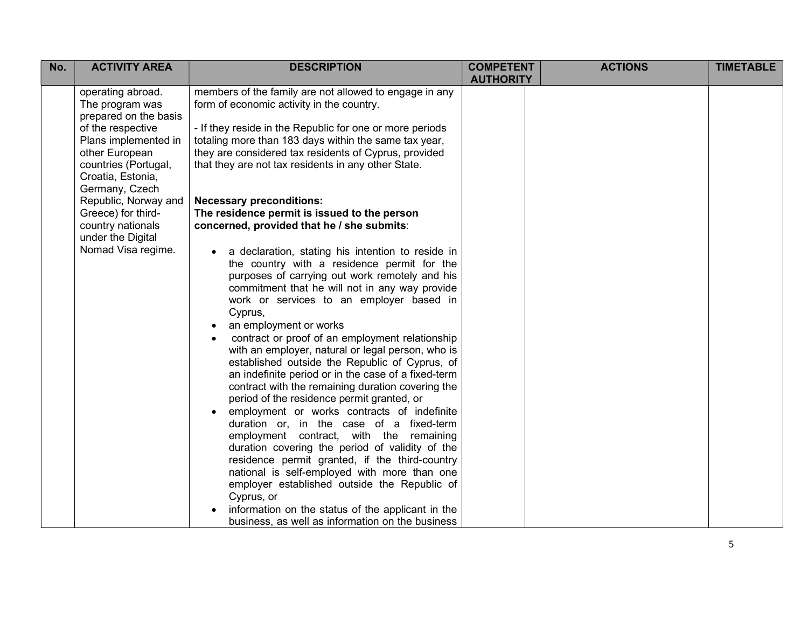| No. | <b>ACTIVITY AREA</b>                                                                                                       | <b>DESCRIPTION</b>                                                                                                                                                                                                                                                                                                                                                                                                                                                                                                                                                                                                                                                                                                                                                                                                                                                                                                                                                                                                                                                                                    | <b>COMPETENT</b><br><b>AUTHORITY</b> | <b>ACTIONS</b> | <b>TIMETABLE</b> |
|-----|----------------------------------------------------------------------------------------------------------------------------|-------------------------------------------------------------------------------------------------------------------------------------------------------------------------------------------------------------------------------------------------------------------------------------------------------------------------------------------------------------------------------------------------------------------------------------------------------------------------------------------------------------------------------------------------------------------------------------------------------------------------------------------------------------------------------------------------------------------------------------------------------------------------------------------------------------------------------------------------------------------------------------------------------------------------------------------------------------------------------------------------------------------------------------------------------------------------------------------------------|--------------------------------------|----------------|------------------|
|     | operating abroad.<br>The program was<br>prepared on the basis                                                              | members of the family are not allowed to engage in any<br>form of economic activity in the country.                                                                                                                                                                                                                                                                                                                                                                                                                                                                                                                                                                                                                                                                                                                                                                                                                                                                                                                                                                                                   |                                      |                |                  |
|     | of the respective<br>Plans implemented in<br>other European<br>countries (Portugal,<br>Croatia, Estonia,<br>Germany, Czech | - If they reside in the Republic for one or more periods<br>totaling more than 183 days within the same tax year,<br>they are considered tax residents of Cyprus, provided<br>that they are not tax residents in any other State.                                                                                                                                                                                                                                                                                                                                                                                                                                                                                                                                                                                                                                                                                                                                                                                                                                                                     |                                      |                |                  |
|     | Republic, Norway and<br>Greece) for third-<br>country nationals<br>under the Digital                                       | <b>Necessary preconditions:</b><br>The residence permit is issued to the person<br>concerned, provided that he / she submits:                                                                                                                                                                                                                                                                                                                                                                                                                                                                                                                                                                                                                                                                                                                                                                                                                                                                                                                                                                         |                                      |                |                  |
|     | Nomad Visa regime.                                                                                                         | a declaration, stating his intention to reside in<br>the country with a residence permit for the<br>purposes of carrying out work remotely and his<br>commitment that he will not in any way provide<br>work or services to an employer based in<br>Cyprus,<br>an employment or works<br>$\bullet$<br>contract or proof of an employment relationship<br>$\bullet$<br>with an employer, natural or legal person, who is<br>established outside the Republic of Cyprus, of<br>an indefinite period or in the case of a fixed-term<br>contract with the remaining duration covering the<br>period of the residence permit granted, or<br>employment or works contracts of indefinite<br>duration or, in the case of a fixed-term<br>employment contract, with the remaining<br>duration covering the period of validity of the<br>residence permit granted, if the third-country<br>national is self-employed with more than one<br>employer established outside the Republic of<br>Cyprus, or<br>information on the status of the applicant in the<br>business, as well as information on the business |                                      |                |                  |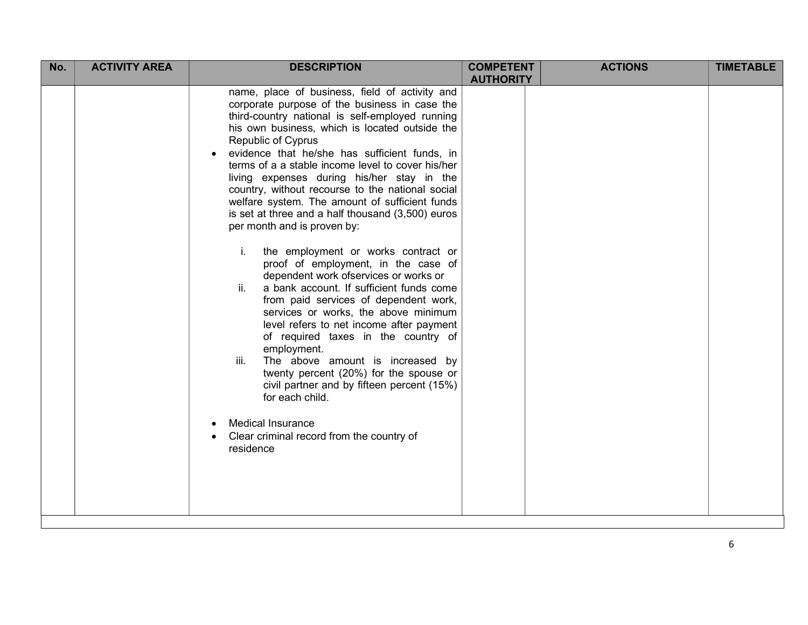| No. | <b>ACTIVITY AREA</b> | <b>DESCRIPTION</b>                                                                                                                                                                                                                                                                                                                                                                                                                                                                                                                                                                                                                                                                                                                                                                                                                                                                                                                                                                                                                                                                                                                                                                       | <b>COMPETENT</b> | <b>ACTIONS</b> | <b>TIMETABLE</b> |
|-----|----------------------|------------------------------------------------------------------------------------------------------------------------------------------------------------------------------------------------------------------------------------------------------------------------------------------------------------------------------------------------------------------------------------------------------------------------------------------------------------------------------------------------------------------------------------------------------------------------------------------------------------------------------------------------------------------------------------------------------------------------------------------------------------------------------------------------------------------------------------------------------------------------------------------------------------------------------------------------------------------------------------------------------------------------------------------------------------------------------------------------------------------------------------------------------------------------------------------|------------------|----------------|------------------|
|     |                      | name, place of business, field of activity and<br>corporate purpose of the business in case the<br>third-country national is self-employed running<br>his own business, which is located outside the<br>Republic of Cyprus<br>evidence that he/she has sufficient funds, in<br>terms of a a stable income level to cover his/her<br>living expenses during his/her stay in the<br>country, without recourse to the national social<br>welfare system. The amount of sufficient funds<br>is set at three and a half thousand (3,500) euros<br>per month and is proven by:<br>i.<br>the employment or works contract or<br>proof of employment, in the case of<br>dependent work ofservices or works or<br>ii.<br>a bank account. If sufficient funds come<br>from paid services of dependent work,<br>services or works, the above minimum<br>level refers to net income after payment<br>of required taxes in the country of<br>employment.<br>The above amount is increased by<br>iii.<br>twenty percent (20%) for the spouse or<br>civil partner and by fifteen percent (15%)<br>for each child.<br><b>Medical Insurance</b><br>$\bullet$<br>Clear criminal record from the country of | <b>AUTHORITY</b> |                |                  |
|     |                      |                                                                                                                                                                                                                                                                                                                                                                                                                                                                                                                                                                                                                                                                                                                                                                                                                                                                                                                                                                                                                                                                                                                                                                                          |                  |                |                  |
|     |                      | residence                                                                                                                                                                                                                                                                                                                                                                                                                                                                                                                                                                                                                                                                                                                                                                                                                                                                                                                                                                                                                                                                                                                                                                                |                  |                |                  |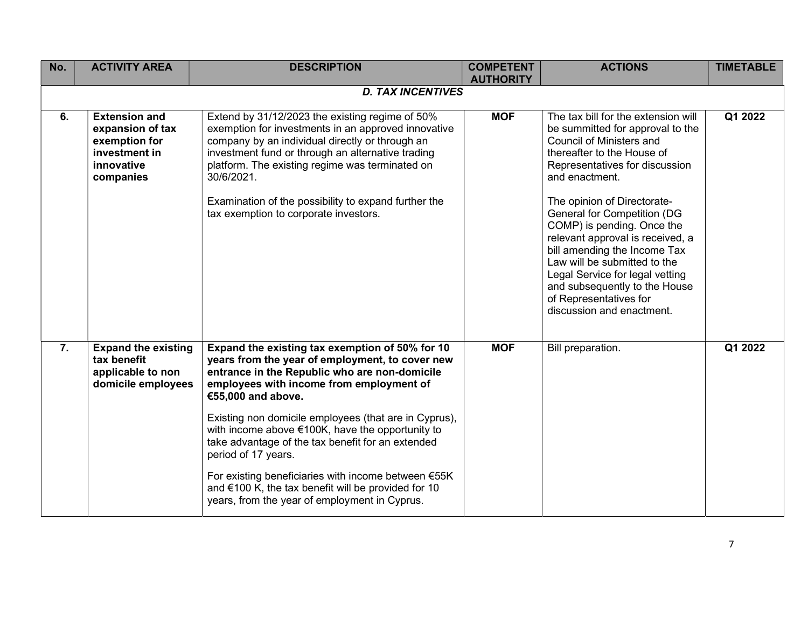| No.              | <b>ACTIVITY AREA</b>                                                                                  | <b>DESCRIPTION</b>                                                                                                                                                                                                                                                                                                                                                                                                                                                                                                                                                              | <b>COMPETENT</b><br><b>AUTHORITY</b> | <b>ACTIONS</b>                                                                                                                                                                                                                                                                                                                                                                                                                                                                                                          | <b>TIMETABLE</b> |
|------------------|-------------------------------------------------------------------------------------------------------|---------------------------------------------------------------------------------------------------------------------------------------------------------------------------------------------------------------------------------------------------------------------------------------------------------------------------------------------------------------------------------------------------------------------------------------------------------------------------------------------------------------------------------------------------------------------------------|--------------------------------------|-------------------------------------------------------------------------------------------------------------------------------------------------------------------------------------------------------------------------------------------------------------------------------------------------------------------------------------------------------------------------------------------------------------------------------------------------------------------------------------------------------------------------|------------------|
|                  |                                                                                                       | <b>D. TAX INCENTIVES</b>                                                                                                                                                                                                                                                                                                                                                                                                                                                                                                                                                        |                                      |                                                                                                                                                                                                                                                                                                                                                                                                                                                                                                                         |                  |
| 6.               | <b>Extension and</b><br>expansion of tax<br>exemption for<br>investment in<br>innovative<br>companies | Extend by 31/12/2023 the existing regime of 50%<br>exemption for investments in an approved innovative<br>company by an individual directly or through an<br>investment fund or through an alternative trading<br>platform. The existing regime was terminated on<br>30/6/2021.<br>Examination of the possibility to expand further the<br>tax exemption to corporate investors.                                                                                                                                                                                                | <b>MOF</b>                           | The tax bill for the extension will<br>be summitted for approval to the<br>Council of Ministers and<br>thereafter to the House of<br>Representatives for discussion<br>and enactment.<br>The opinion of Directorate-<br><b>General for Competition (DG</b><br>COMP) is pending. Once the<br>relevant approval is received, a<br>bill amending the Income Tax<br>Law will be submitted to the<br>Legal Service for legal vetting<br>and subsequently to the House<br>of Representatives for<br>discussion and enactment. | Q1 2022          |
| $\overline{7}$ . | <b>Expand the existing</b><br>tax benefit<br>applicable to non<br>domicile employees                  | Expand the existing tax exemption of 50% for 10<br>years from the year of employment, to cover new<br>entrance in the Republic who are non-domicile<br>employees with income from employment of<br>€55,000 and above.<br>Existing non domicile employees (that are in Cyprus),<br>with income above €100K, have the opportunity to<br>take advantage of the tax benefit for an extended<br>period of 17 years.<br>For existing beneficiaries with income between $E55K$<br>and €100 K, the tax benefit will be provided for 10<br>years, from the year of employment in Cyprus. | <b>MOF</b>                           | Bill preparation.                                                                                                                                                                                                                                                                                                                                                                                                                                                                                                       | Q1 2022          |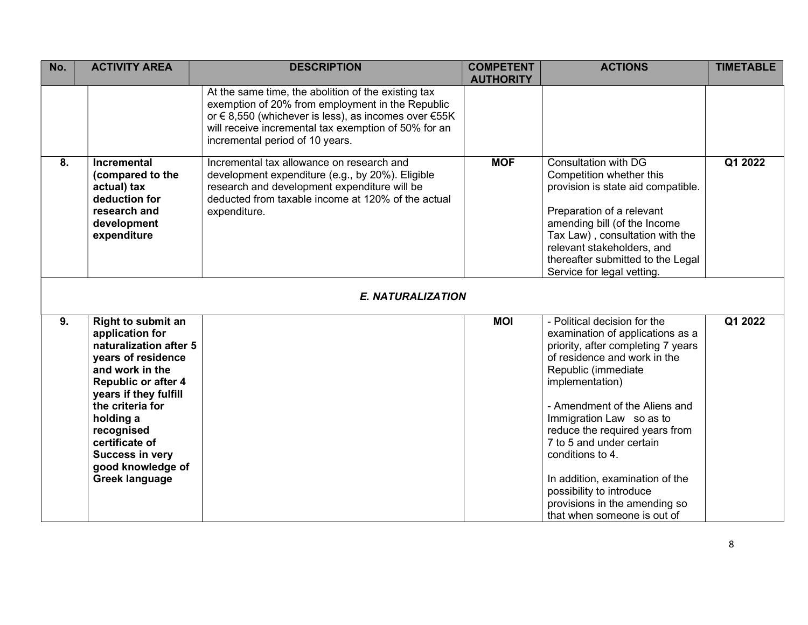| No. | <b>ACTIVITY AREA</b>                                                                                                                                                                                                                                                                              | <b>DESCRIPTION</b>                                                                                                                                                                                                                                        | <b>COMPETENT</b><br><b>AUTHORITY</b> | <b>ACTIONS</b>                                                                                                                                                                                                                                                                                                                                                                                                                                                 | <b>TIMETABLE</b> |
|-----|---------------------------------------------------------------------------------------------------------------------------------------------------------------------------------------------------------------------------------------------------------------------------------------------------|-----------------------------------------------------------------------------------------------------------------------------------------------------------------------------------------------------------------------------------------------------------|--------------------------------------|----------------------------------------------------------------------------------------------------------------------------------------------------------------------------------------------------------------------------------------------------------------------------------------------------------------------------------------------------------------------------------------------------------------------------------------------------------------|------------------|
|     |                                                                                                                                                                                                                                                                                                   | At the same time, the abolition of the existing tax<br>exemption of 20% from employment in the Republic<br>or €8,550 (whichever is less), as incomes over €55K<br>will receive incremental tax exemption of 50% for an<br>incremental period of 10 years. |                                      |                                                                                                                                                                                                                                                                                                                                                                                                                                                                |                  |
| 8.  | <b>Incremental</b><br>(compared to the<br>actual) tax<br>deduction for<br>research and<br>development<br>expenditure                                                                                                                                                                              | Incremental tax allowance on research and<br>development expenditure (e.g., by 20%). Eligible<br>research and development expenditure will be<br>deducted from taxable income at 120% of the actual<br>expenditure.                                       | <b>MOF</b>                           | <b>Consultation with DG</b><br>Competition whether this<br>provision is state aid compatible.<br>Preparation of a relevant<br>amending bill (of the Income<br>Tax Law), consultation with the<br>relevant stakeholders, and<br>thereafter submitted to the Legal<br>Service for legal vetting.                                                                                                                                                                 | Q1 2022          |
|     |                                                                                                                                                                                                                                                                                                   | <b>E. NATURALIZATION</b>                                                                                                                                                                                                                                  |                                      |                                                                                                                                                                                                                                                                                                                                                                                                                                                                |                  |
| 9.  | Right to submit an<br>application for<br>naturalization after 5<br>years of residence<br>and work in the<br><b>Republic or after 4</b><br>years if they fulfill<br>the criteria for<br>holding a<br>recognised<br>certificate of<br>Success in very<br>good knowledge of<br><b>Greek language</b> |                                                                                                                                                                                                                                                           | <b>MOI</b>                           | - Political decision for the<br>examination of applications as a<br>priority, after completing 7 years<br>of residence and work in the<br>Republic (immediate<br>implementation)<br>- Amendment of the Aliens and<br>Immigration Law so as to<br>reduce the required years from<br>7 to 5 and under certain<br>conditions to 4.<br>In addition, examination of the<br>possibility to introduce<br>provisions in the amending so<br>that when someone is out of | Q1 2022          |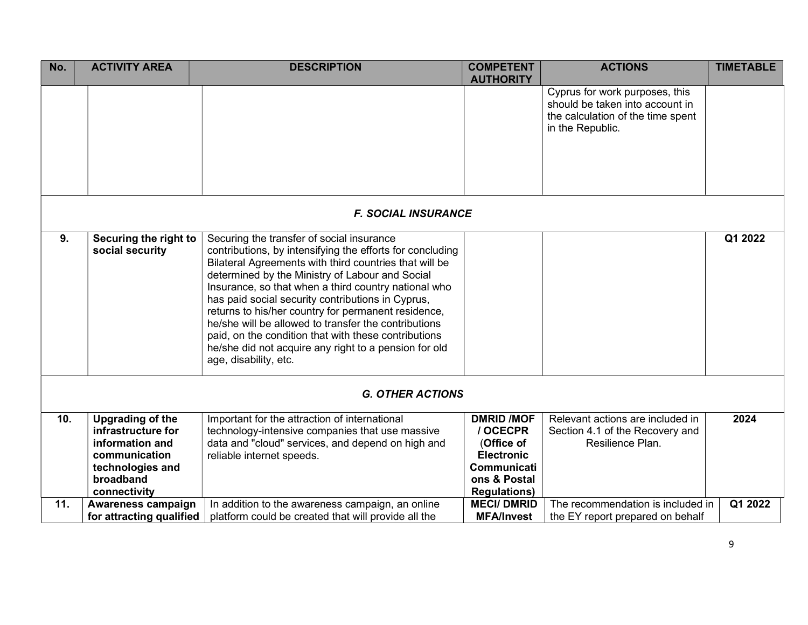| No. | <b>ACTIVITY AREA</b>                                                                                                               | <b>DESCRIPTION</b>                                                                                                                                                                                                                                                                                                                                                                                                                                                                                                                                                                        | <b>COMPETENT</b><br><b>AUTHORITY</b>                                                                                   | <b>ACTIONS</b>                                                                                                             | <b>TIMETABLE</b> |
|-----|------------------------------------------------------------------------------------------------------------------------------------|-------------------------------------------------------------------------------------------------------------------------------------------------------------------------------------------------------------------------------------------------------------------------------------------------------------------------------------------------------------------------------------------------------------------------------------------------------------------------------------------------------------------------------------------------------------------------------------------|------------------------------------------------------------------------------------------------------------------------|----------------------------------------------------------------------------------------------------------------------------|------------------|
|     |                                                                                                                                    |                                                                                                                                                                                                                                                                                                                                                                                                                                                                                                                                                                                           |                                                                                                                        | Cyprus for work purposes, this<br>should be taken into account in<br>the calculation of the time spent<br>in the Republic. |                  |
|     |                                                                                                                                    | <b>F. SOCIAL INSURANCE</b>                                                                                                                                                                                                                                                                                                                                                                                                                                                                                                                                                                |                                                                                                                        |                                                                                                                            |                  |
| 9.  | Securing the right to<br>social security                                                                                           | Securing the transfer of social insurance<br>contributions, by intensifying the efforts for concluding<br>Bilateral Agreements with third countries that will be<br>determined by the Ministry of Labour and Social<br>Insurance, so that when a third country national who<br>has paid social security contributions in Cyprus,<br>returns to his/her country for permanent residence,<br>he/she will be allowed to transfer the contributions<br>paid, on the condition that with these contributions<br>he/she did not acquire any right to a pension for old<br>age, disability, etc. |                                                                                                                        |                                                                                                                            | Q1 2022          |
|     |                                                                                                                                    | <b>G. OTHER ACTIONS</b>                                                                                                                                                                                                                                                                                                                                                                                                                                                                                                                                                                   |                                                                                                                        |                                                                                                                            |                  |
| 10. | <b>Upgrading of the</b><br>infrastructure for<br>information and<br>communication<br>technologies and<br>broadband<br>connectivity | Important for the attraction of international<br>technology-intensive companies that use massive<br>data and "cloud" services, and depend on high and<br>reliable internet speeds.                                                                                                                                                                                                                                                                                                                                                                                                        | <b>DMRID /MOF</b><br>/ OCECPR<br>(Office of<br><b>Electronic</b><br>Communicati<br>ons & Postal<br><b>Regulations)</b> | Relevant actions are included in<br>Section 4.1 of the Recovery and<br>Resilience Plan.                                    | 2024             |
| 11. | Awareness campaign<br>for attracting qualified                                                                                     | In addition to the awareness campaign, an online<br>platform could be created that will provide all the                                                                                                                                                                                                                                                                                                                                                                                                                                                                                   | <b>MECI/DMRID</b><br><b>MFA/Invest</b>                                                                                 | The recommendation is included in<br>the EY report prepared on behalf                                                      | Q1 2022          |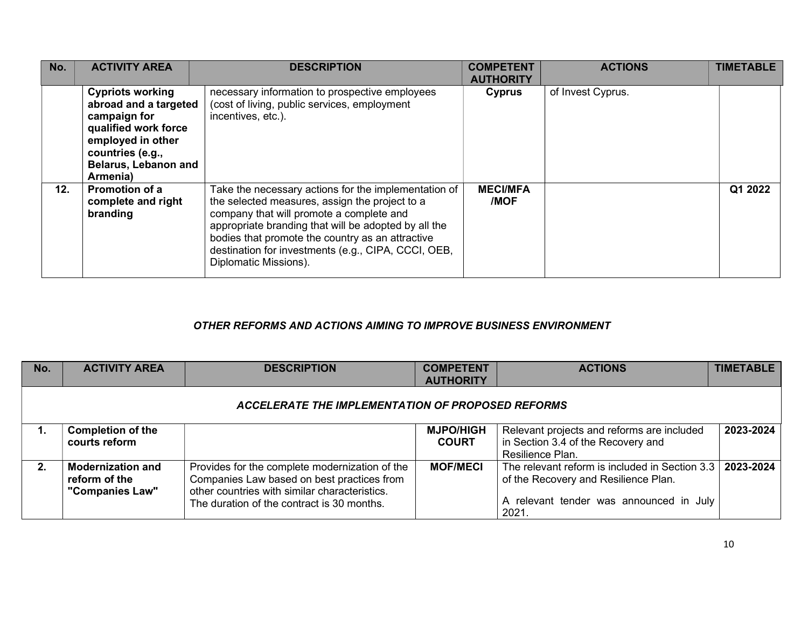| No. | <b>ACTIVITY AREA</b>                                                                                                                                                         | <b>DESCRIPTION</b>                                                                                                                                                                                                                                                                                                                             | <b>COMPETENT</b><br><b>AUTHORITY</b> | <b>ACTIONS</b>    | <b>TIMETABLE</b> |
|-----|------------------------------------------------------------------------------------------------------------------------------------------------------------------------------|------------------------------------------------------------------------------------------------------------------------------------------------------------------------------------------------------------------------------------------------------------------------------------------------------------------------------------------------|--------------------------------------|-------------------|------------------|
|     | <b>Cypriots working</b><br>abroad and a targeted<br>campaign for<br>qualified work force<br>employed in other<br>countries (e.g.,<br><b>Belarus, Lebanon and</b><br>Armenia) | necessary information to prospective employees<br>(cost of living, public services, employment<br>incentives, etc.).                                                                                                                                                                                                                           | Cyprus                               | of Invest Cyprus. |                  |
| 12. | <b>Promotion of a</b><br>complete and right<br>branding                                                                                                                      | Take the necessary actions for the implementation of<br>the selected measures, assign the project to a<br>company that will promote a complete and<br>appropriate branding that will be adopted by all the<br>bodies that promote the country as an attractive<br>destination for investments (e.g., CIPA, CCCI, OEB,<br>Diplomatic Missions). | <b>MECI/MFA</b><br>/MOF              |                   | Q1 2022          |

## OTHER REFORMS AND ACTIONS AIMING TO IMPROVE BUSINESS ENVIRONMENT

| No. | <b>ACTIVITY AREA</b>                                         | <b>DESCRIPTION</b>                                                                                                                                                                          | <b>COMPETENT</b><br><b>AUTHORITY</b> | <b>ACTIONS</b>                                                                                                                             | <b>TIMETABLE</b> |
|-----|--------------------------------------------------------------|---------------------------------------------------------------------------------------------------------------------------------------------------------------------------------------------|--------------------------------------|--------------------------------------------------------------------------------------------------------------------------------------------|------------------|
|     |                                                              | ACCELERATE THE IMPLEMENTATION OF PROPOSED REFORMS                                                                                                                                           |                                      |                                                                                                                                            |                  |
|     | <b>Completion of the</b><br>courts reform                    |                                                                                                                                                                                             | <b>MJPO/HIGH</b><br><b>COURT</b>     | Relevant projects and reforms are included<br>in Section 3.4 of the Recovery and<br>Resilience Plan.                                       | 2023-2024        |
| 2.  | <b>Modernization and</b><br>reform of the<br>"Companies Law" | Provides for the complete modernization of the<br>Companies Law based on best practices from<br>other countries with similar characteristics.<br>The duration of the contract is 30 months. | <b>MOF/MECI</b>                      | The relevant reform is included in Section 3.3<br>of the Recovery and Resilience Plan.<br>A relevant tender was announced in July<br>2021. | 2023-2024        |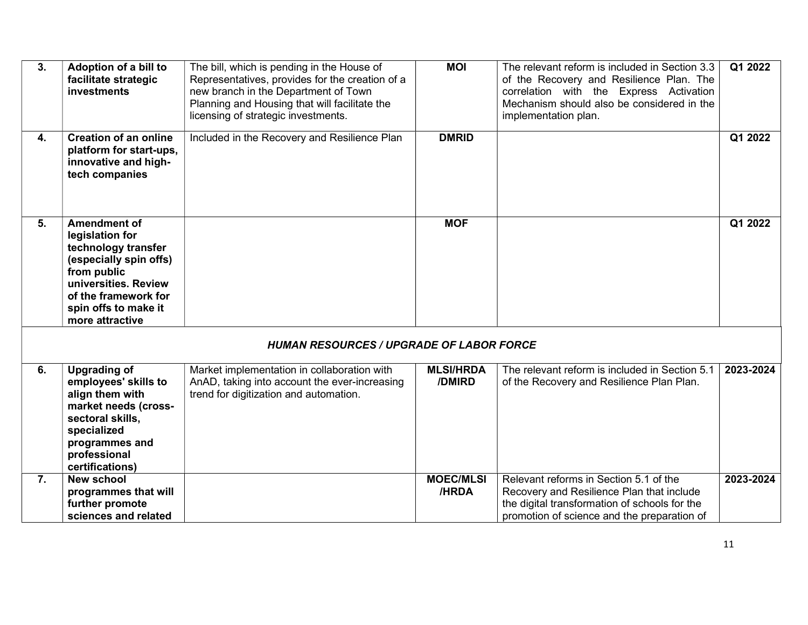| 3. | Adoption of a bill to<br>facilitate strategic<br>investments                                                                                                                                      | The bill, which is pending in the House of<br>Representatives, provides for the creation of a<br>new branch in the Department of Town<br>Planning and Housing that will facilitate the<br>licensing of strategic investments. | <b>MOI</b>                 | The relevant reform is included in Section 3.3<br>of the Recovery and Resilience Plan. The<br>correlation with the Express Activation<br>Mechanism should also be considered in the<br>implementation plan. | Q1 2022   |
|----|---------------------------------------------------------------------------------------------------------------------------------------------------------------------------------------------------|-------------------------------------------------------------------------------------------------------------------------------------------------------------------------------------------------------------------------------|----------------------------|-------------------------------------------------------------------------------------------------------------------------------------------------------------------------------------------------------------|-----------|
| 4. | <b>Creation of an online</b><br>platform for start-ups,<br>innovative and high-<br>tech companies                                                                                                 | Included in the Recovery and Resilience Plan                                                                                                                                                                                  | <b>DMRID</b>               |                                                                                                                                                                                                             | Q1 2022   |
| 5. | <b>Amendment of</b><br>legislation for<br>technology transfer<br>(especially spin offs)<br>from public<br>universities. Review<br>of the framework for<br>spin offs to make it<br>more attractive |                                                                                                                                                                                                                               | <b>MOF</b>                 |                                                                                                                                                                                                             | Q1 2022   |
|    |                                                                                                                                                                                                   | <b>HUMAN RESOURCES / UPGRADE OF LABOR FORCE</b>                                                                                                                                                                               |                            |                                                                                                                                                                                                             |           |
| 6. | <b>Upgrading of</b><br>employees' skills to<br>align them with<br>market needs (cross-<br>sectoral skills,<br>specialized<br>programmes and<br>professional<br>certifications)                    | Market implementation in collaboration with<br>AnAD, taking into account the ever-increasing<br>trend for digitization and automation.                                                                                        | <b>MLSI/HRDA</b><br>/DMIRD | The relevant reform is included in Section 5.1<br>of the Recovery and Resilience Plan Plan.                                                                                                                 | 2023-2024 |
| 7. | <b>New school</b><br>programmes that will<br>further promote<br>sciences and related                                                                                                              |                                                                                                                                                                                                                               | <b>MOEC/MLSI</b><br>/HRDA  | Relevant reforms in Section 5.1 of the<br>Recovery and Resilience Plan that include<br>the digital transformation of schools for the<br>promotion of science and the preparation of                         | 2023-2024 |